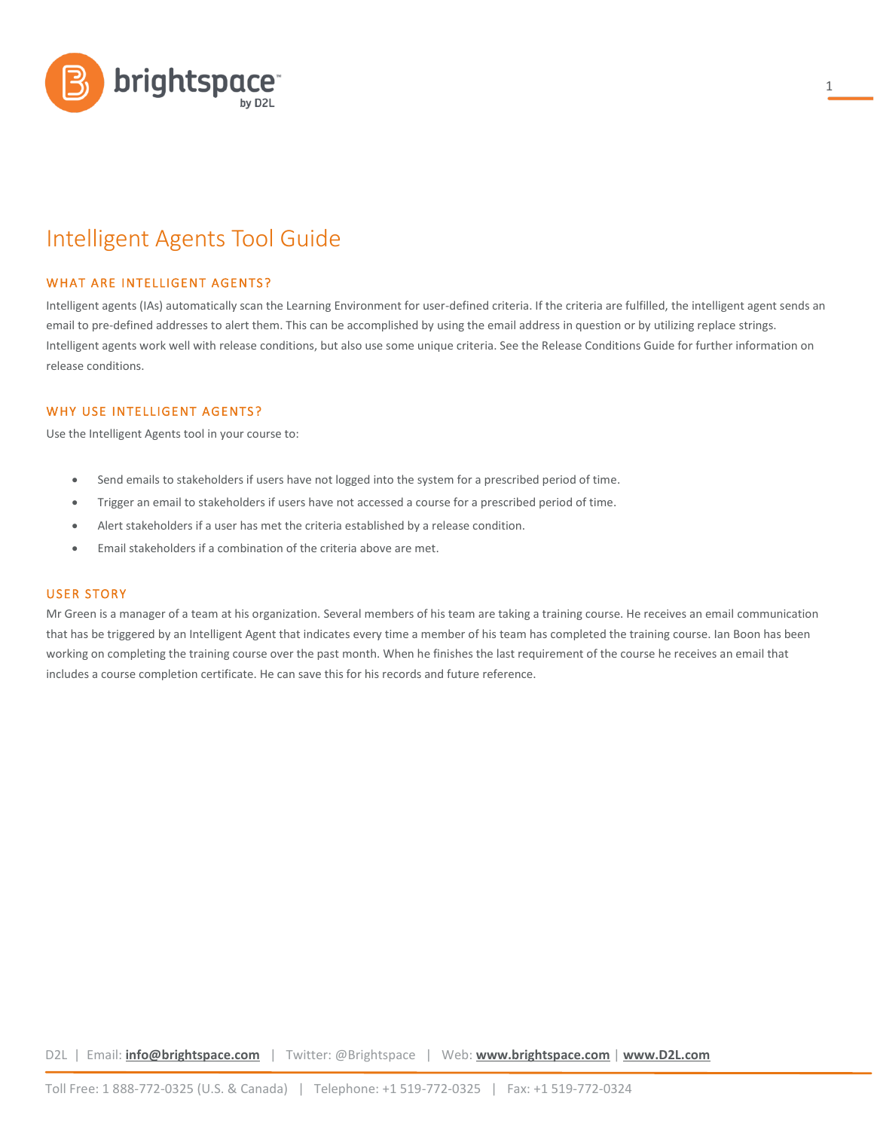

# Intelligent Agents Tool Guide

# WHAT ARE INTELLIGENT AGENTS?

Intelligent agents (IAs) automatically scan the Learning Environment for user-defined criteria. If the criteria are fulfilled, the intelligent agent sends an email to pre-defined addresses to alert them. This can be accomplished by using the email address in question or by utilizing replace strings. Intelligent agents work well with release conditions, but also use some unique criteria. See the Release Conditions Guide for further information on release conditions.

#### WHY USE INTELLIGENT AGENTS?

Use the Intelligent Agents tool in your course to:

- Send emails to stakeholders if users have not logged into the system for a prescribed period of time.
- Trigger an email to stakeholders if users have not accessed a course for a prescribed period of time.
- Alert stakeholders if a user has met the criteria established by a release condition.
- Email stakeholders if a combination of the criteria above are met.

#### **USER STORY**

Mr Green is a manager of a team at his organization. Several members of his team are taking a training course. He receives an email communication that has be triggered by an Intelligent Agent that indicates every time a member of his team has completed the training course. Ian Boon has been working on completing the training course over the past month. When he finishes the last requirement of the course he receives an email that includes a course completion certificate. He can save this for his records and future reference.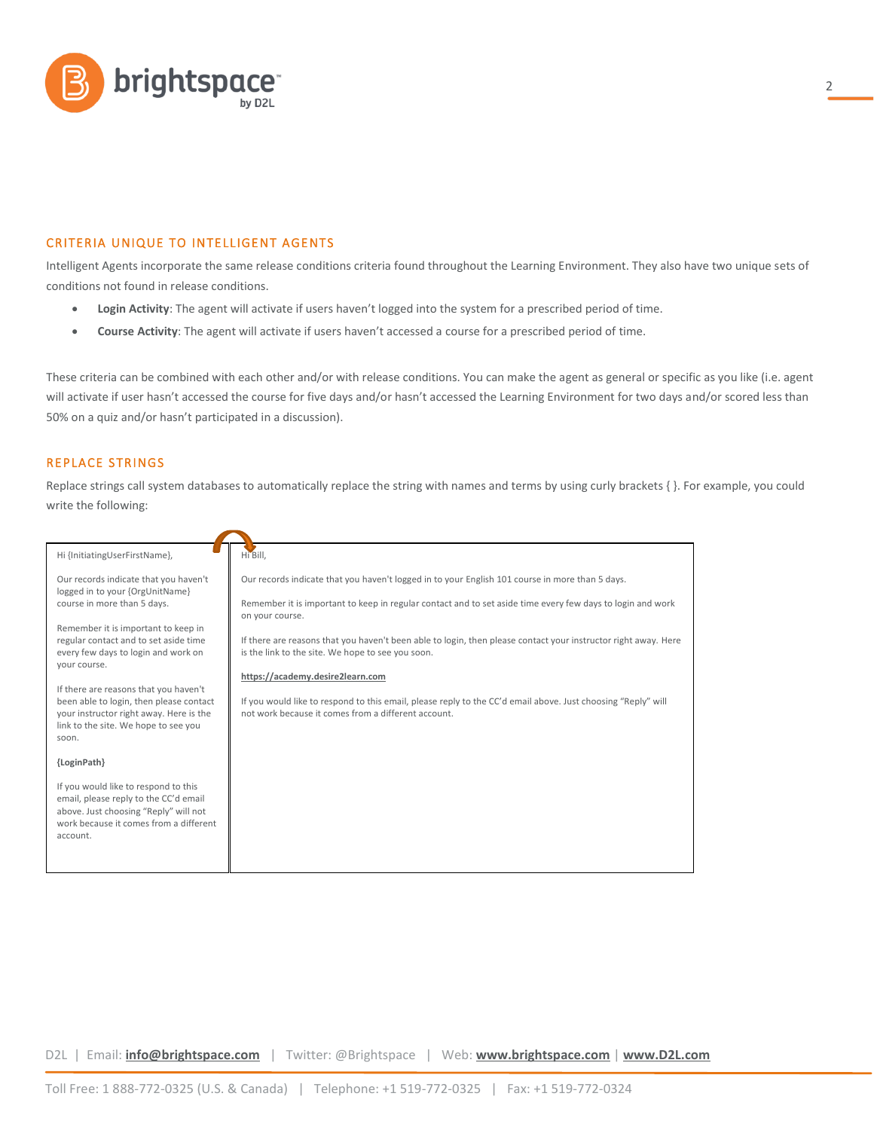

# CRITERIA UNIQUE TO INTELLIGENT AGENTS

Intelligent Agents incorporate the same release conditions criteria found throughout the Learning Environment. They also have two unique sets of conditions not found in release conditions.

- **Login Activity**: The agent will activate if users haven't logged into the system for a prescribed period of time.
- **Course Activity**: The agent will activate if users haven't accessed a course for a prescribed period of time.

These criteria can be combined with each other and/or with release conditions. You can make the agent as general or specific as you like (i.e. agent will activate if user hasn't accessed the course for five days and/or hasn't accessed the Learning Environment for two days and/or scored less than 50% on a quiz and/or hasn't participated in a discussion).

#### **REPLACE STRINGS**

Replace strings call system databases to automatically replace the string with names and terms by using curly brackets { }. For example, you could write the following:

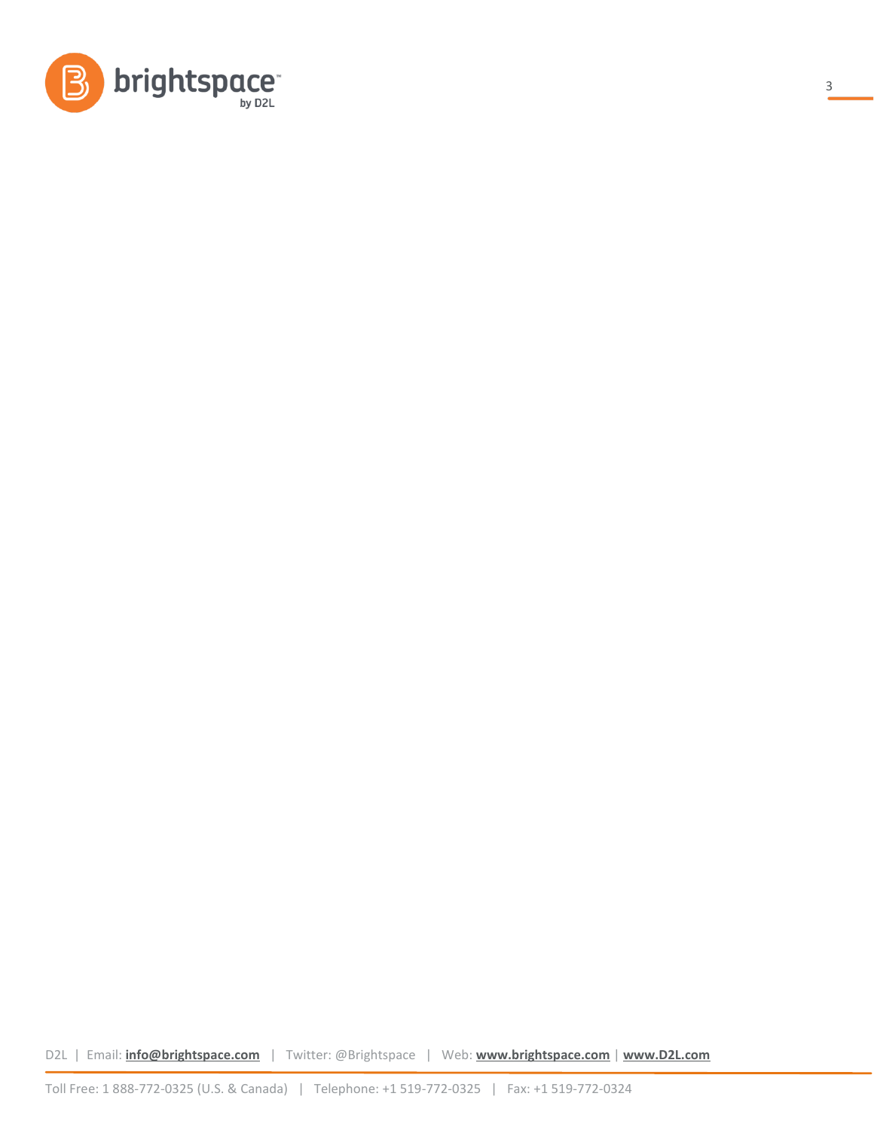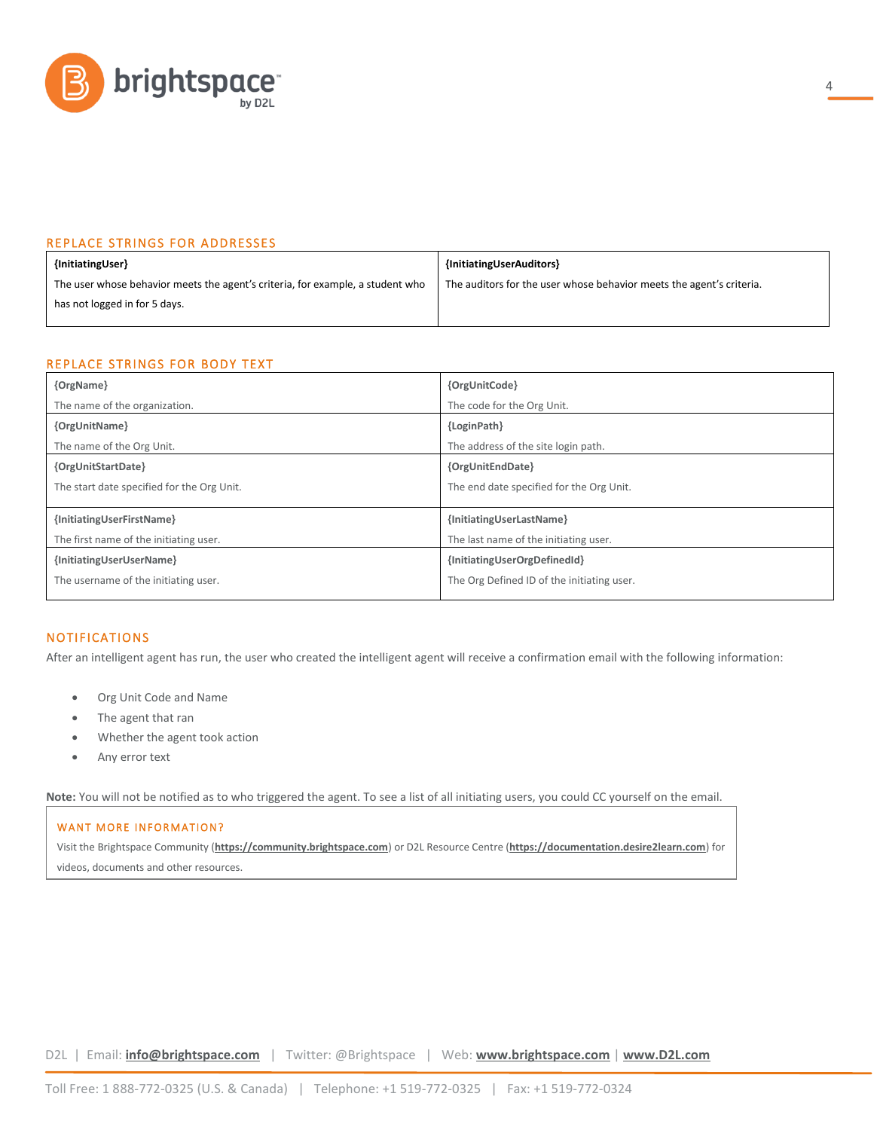

# REPLACE STRINGS FOR ADDRESSES

| {InitiatingUser}                                                               | {InitiatingUserAuditors}                                             |
|--------------------------------------------------------------------------------|----------------------------------------------------------------------|
| The user whose behavior meets the agent's criteria, for example, a student who | The auditors for the user whose behavior meets the agent's criteria. |
| has not logged in for 5 days.                                                  |                                                                      |

#### REPLACE STRINGS FOR BODY TEXT

| {OrgName}                                  | {OrgUnitCode}                              |
|--------------------------------------------|--------------------------------------------|
| The name of the organization.              | The code for the Org Unit.                 |
| {OrgUnitName}                              | {LoginPath}                                |
| The name of the Org Unit.                  | The address of the site login path.        |
| {OrgUnitStartDate}                         | {OrgUnitEndDate}                           |
| The start date specified for the Org Unit. | The end date specified for the Org Unit.   |
| {InitiatingUserFirstName}                  | {InitiatingUserLastName}                   |
|                                            |                                            |
| The first name of the initiating user.     | The last name of the initiating user.      |
| {InitiatingUserUserName}                   | {InitiatingUserOrgDefinedId}               |
| The username of the initiating user.       | The Org Defined ID of the initiating user. |
|                                            |                                            |

### **NOTIFICATIONS**

After an intelligent agent has run, the user who created the intelligent agent will receive a confirmation email with the following information:

- Org Unit Code and Name
- The agent that ran
- Whether the agent took action
- Any error text

**Note:** You will not be notified as to who triggered the agent. To see a list of all initiating users, you could CC yourself on the email.

#### WANT MORE INFORMATION?

Visit the Brightspace Community (**[https://community.brightspace.com](https://community.brightspace.com/)**) or D2L Resource Centre (**[https://documentation.desire2learn.com](https://documentation.desire2learn.com/)**) for videos, documents and other resources.